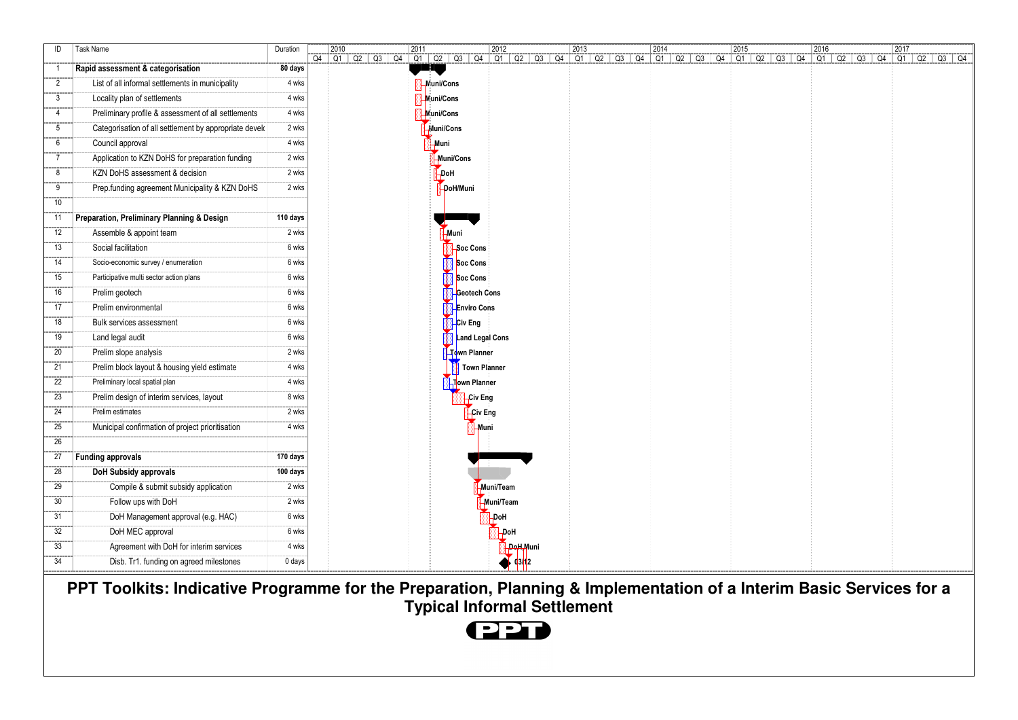| ID              | Task Name                                              | Duration | 2010 |  | 2011 |                   |                     | 2012           |          | 2013 | 2014 |  | 2015 | 2016 |  | 2017                                                                                                                       |  |
|-----------------|--------------------------------------------------------|----------|------|--|------|-------------------|---------------------|----------------|----------|------|------|--|------|------|--|----------------------------------------------------------------------------------------------------------------------------|--|
| $\overline{1}$  | Rapid assessment & categorisation                      | 80 days  |      |  |      |                   |                     |                |          |      |      |  |      |      |  | 04 01 02 03 04 01 02 03 04 01 02 03 04 01 02 03 04 01 02 03 04 01 02 03 04 01 02 03 04 01 02 03 04 01 02 03 04 01 02 03 04 |  |
| $\overline{2}$  | List of all informal settlements in municipality       | 4 wks    |      |  |      | <b>Muni/Cons</b>  |                     |                |          |      |      |  |      |      |  |                                                                                                                            |  |
| $\mathbf{3}$    |                                                        | 4 wks    |      |  |      |                   |                     |                |          |      |      |  |      |      |  |                                                                                                                            |  |
|                 | Locality plan of settlements                           |          |      |  |      | <b>Nuni/Cons</b>  |                     |                |          |      |      |  |      |      |  |                                                                                                                            |  |
| $\overline{4}$  | Preliminary profile & assessment of all settlements    | 4 wks    |      |  |      | <b>N</b> uni/Cons |                     |                |          |      |      |  |      |      |  |                                                                                                                            |  |
| $5\phantom{.0}$ | Categorisation of all settlement by appropriate develo | 2 wks    |      |  |      | <b>Eluni/Cons</b> |                     |                |          |      |      |  |      |      |  |                                                                                                                            |  |
| 6               | Council approval                                       | 4 wks    |      |  |      | <b>Muni</b>       |                     |                |          |      |      |  |      |      |  |                                                                                                                            |  |
| $\overline{7}$  | Application to KZN DoHS for preparation funding        | 2 wks    |      |  |      | Muni/Cons         |                     |                |          |      |      |  |      |      |  |                                                                                                                            |  |
| 8               | KZN DoHS assessment & decision                         | 2 wks    |      |  |      | Hod-              |                     |                |          |      |      |  |      |      |  |                                                                                                                            |  |
| 9               | Prep.funding agreement Municipality & KZN DoHS         | 2 wks    |      |  |      | DoH/Muni          |                     |                |          |      |      |  |      |      |  |                                                                                                                            |  |
| 10              |                                                        |          |      |  |      |                   |                     |                |          |      |      |  |      |      |  |                                                                                                                            |  |
| 11              | Preparation, Preliminary Planning & Design             | 110 days |      |  |      |                   |                     |                |          |      |      |  |      |      |  |                                                                                                                            |  |
| 12              | Assemble & appoint team                                | 2 wks    |      |  |      | -Muni             |                     |                |          |      |      |  |      |      |  |                                                                                                                            |  |
| 13              | Social facilitation                                    | 6 wks    |      |  |      |                   | Soc Cons            |                |          |      |      |  |      |      |  |                                                                                                                            |  |
| 14              | Socio-economic survey / enumeration                    | 6 wks    |      |  |      |                   | Soc Cons            |                |          |      |      |  |      |      |  |                                                                                                                            |  |
| 15              | Participative multi sector action plans                | 6 wks    |      |  |      |                   | Soc Cons            |                |          |      |      |  |      |      |  |                                                                                                                            |  |
| 16              | Prelim geotech                                         | 6 wks    |      |  |      |                   | Geotech Cons        |                |          |      |      |  |      |      |  |                                                                                                                            |  |
| 17              | Prelim environmental                                   | 6 wks    |      |  |      |                   | <b>Enviro Cons</b>  |                |          |      |      |  |      |      |  |                                                                                                                            |  |
| 18              | Bulk services assessment                               | 6 wks    |      |  |      |                   | Civ Eng             |                |          |      |      |  |      |      |  |                                                                                                                            |  |
| 19              | Land legal audit                                       | 6 wks    |      |  |      |                   | Land Legal Cons     |                |          |      |      |  |      |      |  |                                                                                                                            |  |
| 20              | Prelim slope analysis                                  | 2 wks    |      |  |      |                   | Town Planner        |                |          |      |      |  |      |      |  |                                                                                                                            |  |
| 21              | Prelim block layout & housing yield estimate           | 4 wks    |      |  |      |                   | <b>Town Planner</b> |                |          |      |      |  |      |      |  |                                                                                                                            |  |
| 22              | Preliminary local spatial plan                         | 4 wks    |      |  |      |                   | Town Planner        |                |          |      |      |  |      |      |  |                                                                                                                            |  |
| 23              | Prelim design of interim services, layout              | 8 wks    |      |  |      |                   | Civ Eng             |                |          |      |      |  |      |      |  |                                                                                                                            |  |
| 24              | Prelim estimates                                       | 2 wks    |      |  |      |                   | Civ Eng             |                |          |      |      |  |      |      |  |                                                                                                                            |  |
| 25              | Municipal confirmation of project prioritisation       | 4 wks    |      |  |      |                   | -Muni               |                |          |      |      |  |      |      |  |                                                                                                                            |  |
| 26              |                                                        |          |      |  |      |                   |                     |                |          |      |      |  |      |      |  |                                                                                                                            |  |
| 27              | <b>Funding approvals</b>                               | 170 days |      |  |      |                   |                     |                |          |      |      |  |      |      |  |                                                                                                                            |  |
| 28              | DoH Subsidy approvals                                  | 100 days |      |  |      |                   |                     |                |          |      |      |  |      |      |  |                                                                                                                            |  |
| 29              | Compile & submit subsidy application                   | 2 wks    |      |  |      |                   |                     | Muni/Team      |          |      |      |  |      |      |  |                                                                                                                            |  |
| 30              | Follow ups with DoH                                    | 2 wks    |      |  |      |                   |                     | Muni/Team      |          |      |      |  |      |      |  |                                                                                                                            |  |
| 31              | DoH Management approval (e.g. HAC)                     | 6 wks    |      |  |      |                   |                     | -DoH           |          |      |      |  |      |      |  |                                                                                                                            |  |
| 32              | DoH MEC approval                                       | 6 wks    |      |  |      |                   |                     | -DoH           |          |      |      |  |      |      |  |                                                                                                                            |  |
| 33              | Agreement with DoH for interim services                | 4 wks    |      |  |      |                   |                     |                | DoH,Muni |      |      |  |      |      |  |                                                                                                                            |  |
| 34              | Disb. Tr1. funding on agreed milestones                | 0 days   |      |  |      |                   |                     | $\sqrt{93/12}$ |          |      |      |  |      |      |  |                                                                                                                            |  |

**PPT Toolkits: Indicative Programme for the Preparation, Planning & Implementation of a Interim Basic Services for a Typical Informal Settlement**